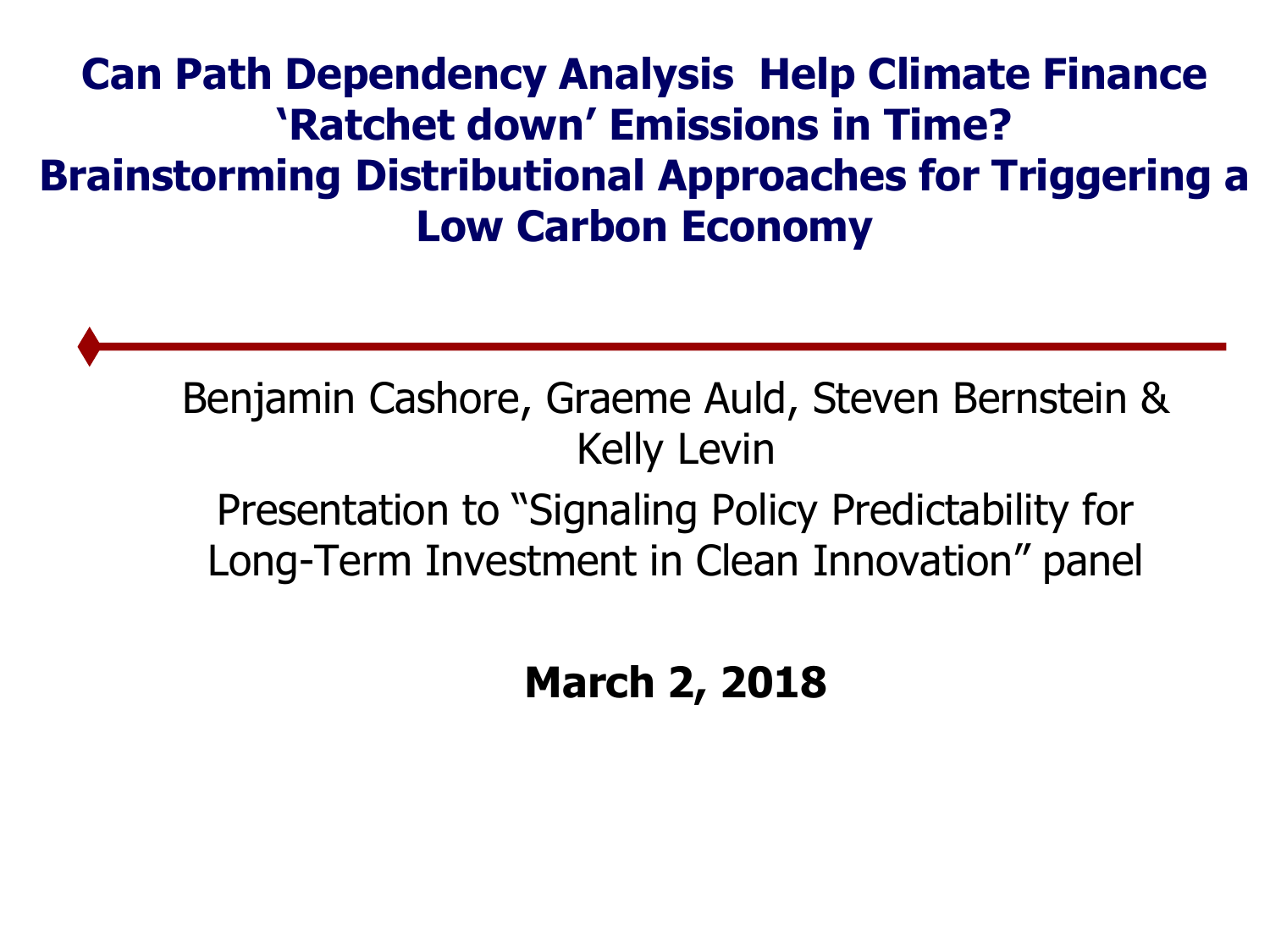#### **Can Path Dependency Analysis Help Climate Finance 'Ratchet down' Emissions in Time? Brainstorming Distributional Approaches for Triggering a Low Carbon Economy**

Benjamin Cashore, Graeme Auld, Steven Bernstein & Kelly Levin

Presentation to "Signaling Policy Predictability for Long-Term Investment in Clean Innovation" panel

**March 2, 2018**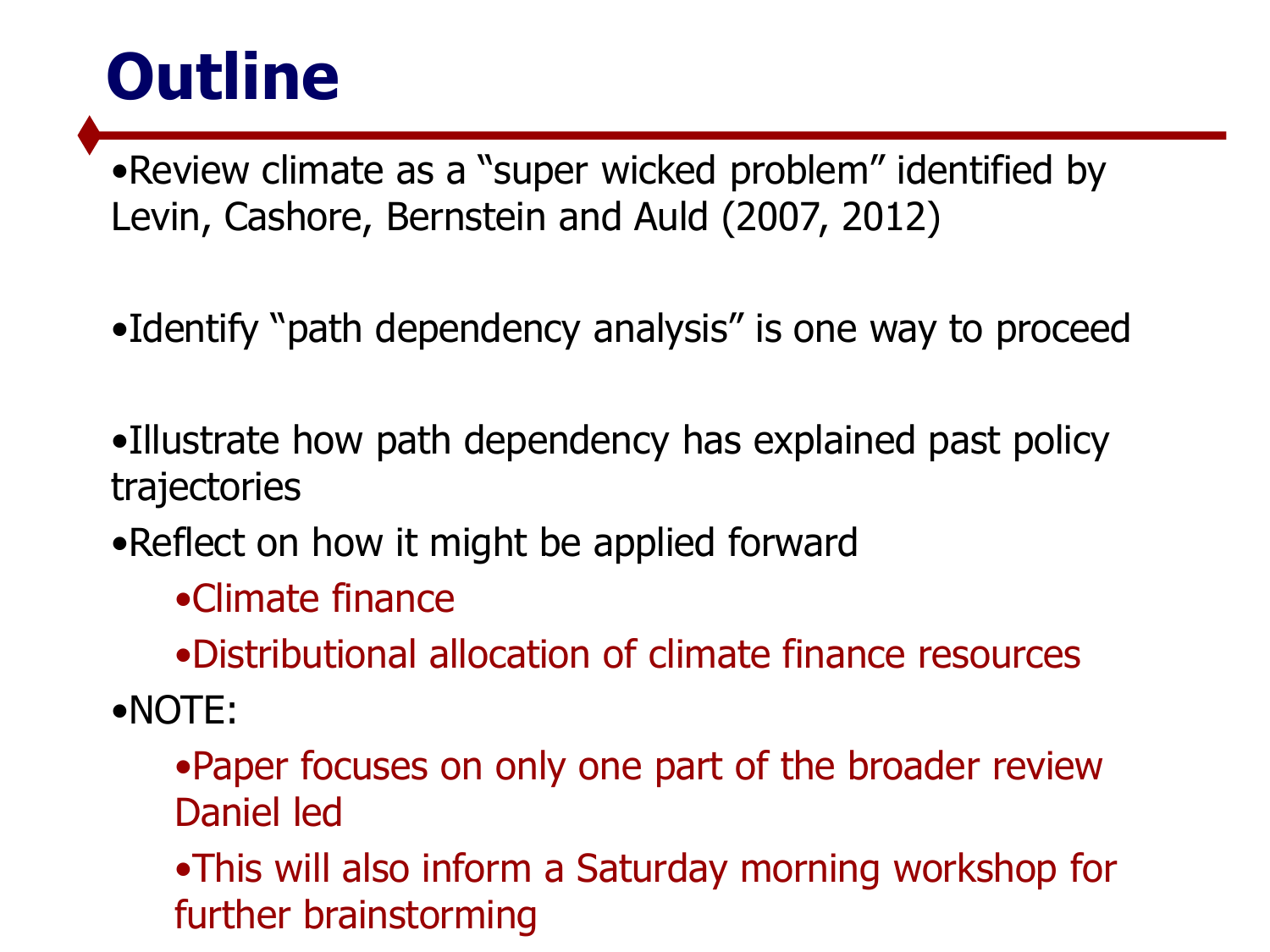# **Outline**

•Review climate as a "super wicked problem" identified by Levin, Cashore, Bernstein and Auld (2007, 2012)

- •Identify "path dependency analysis" is one way to proceed
- •Illustrate how path dependency has explained past policy trajectories
- •Reflect on how it might be applied forward
	- •Climate finance
	- •Distributional allocation of climate finance resources
- •NOTE:
	- •Paper focuses on only one part of the broader review Daniel led

•This will also inform a Saturday morning workshop for further brainstorming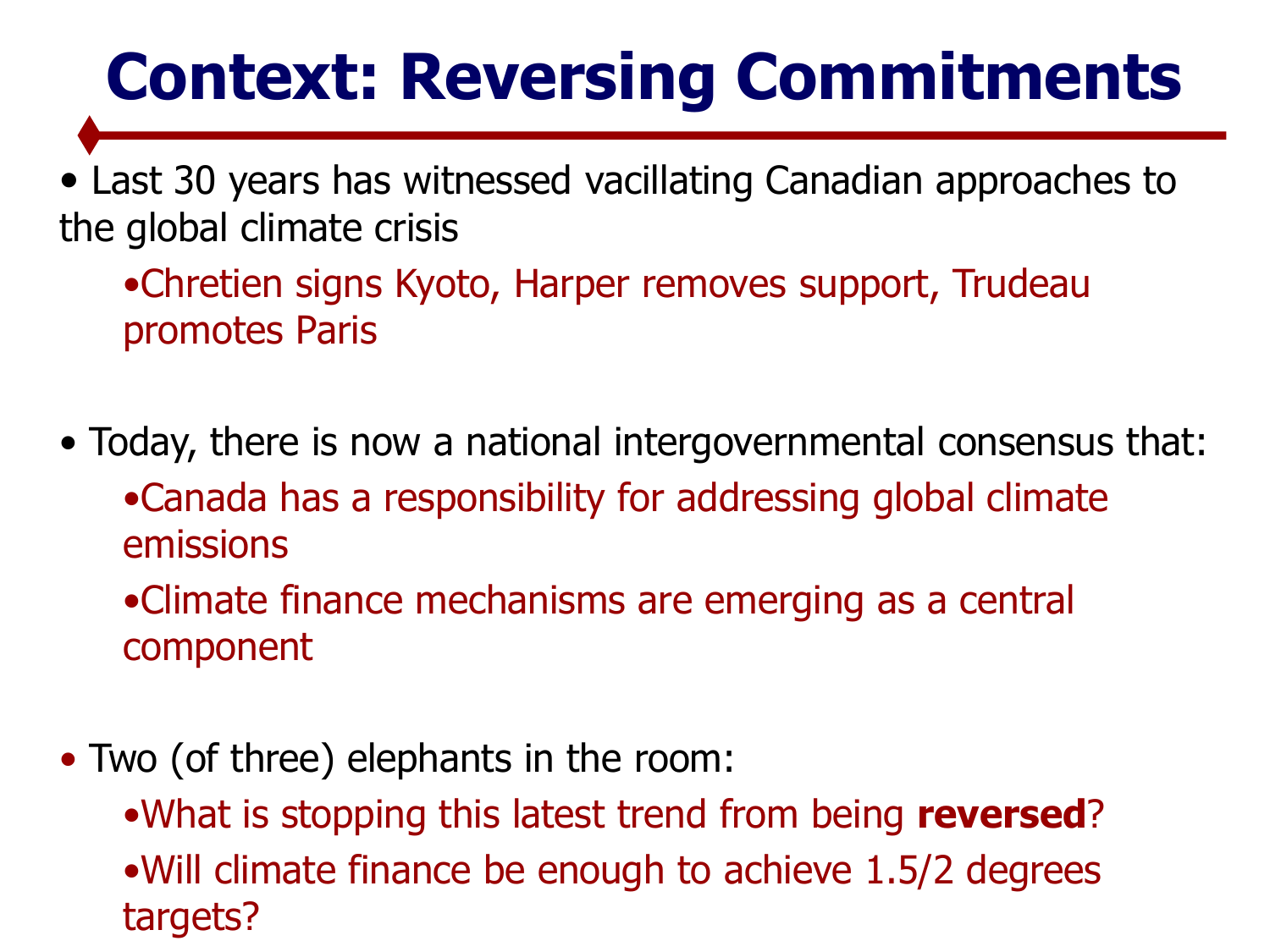# **Context: Reversing Commitments**

• Last 30 years has witnessed vacillating Canadian approaches to the global climate crisis

•Chretien signs Kyoto, Harper removes support, Trudeau promotes Paris

• Today, there is now a national intergovernmental consensus that: •Canada has a responsibility for addressing global climate emissions

•Climate finance mechanisms are emerging as a central component

- Two (of three) elephants in the room:
	- •What is stopping this latest trend from being **reversed**? •Will climate finance be enough to achieve 1.5/2 degrees targets?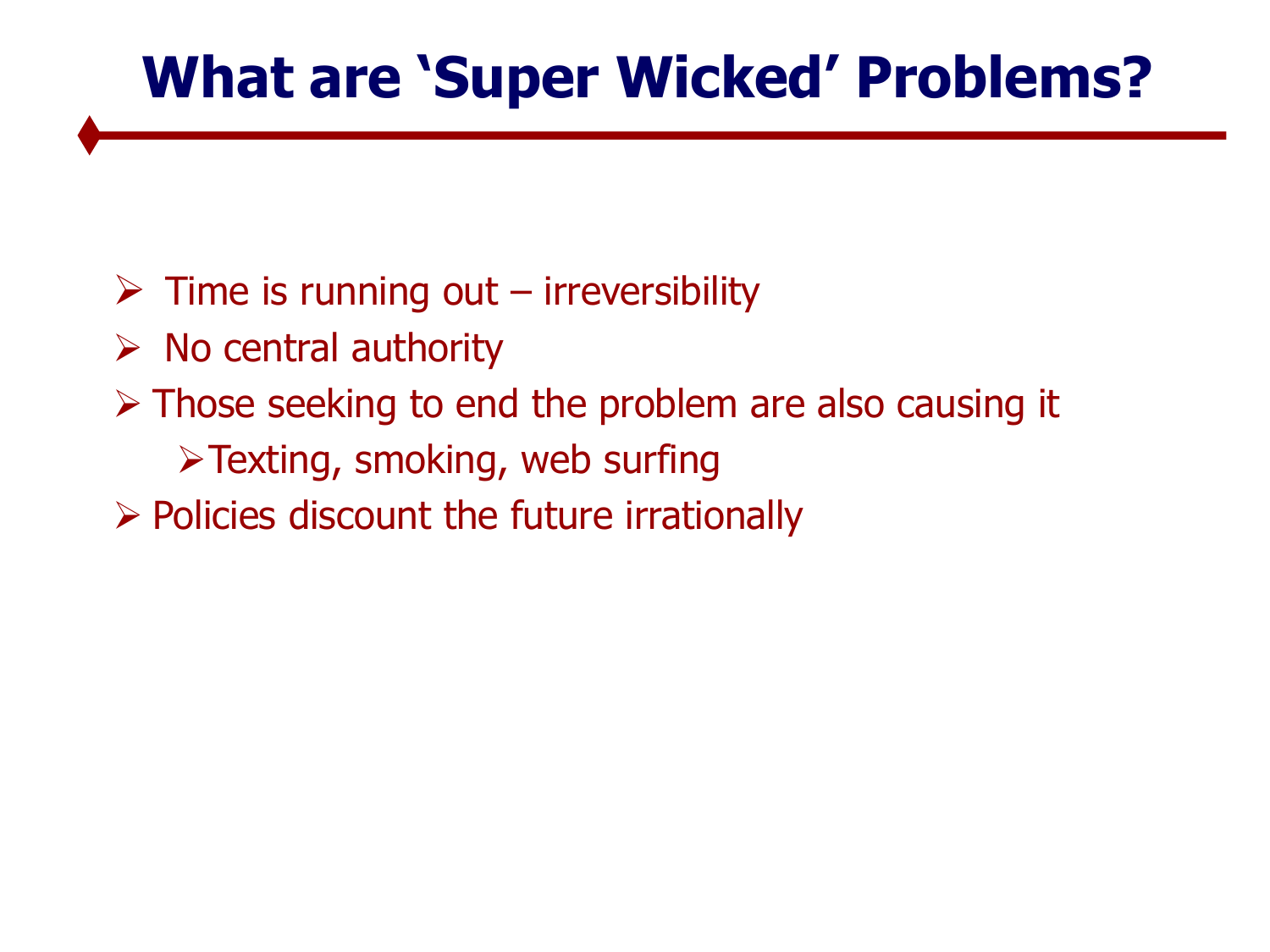# **What are 'Super Wicked' Problems?**

- $\triangleright$  Time is running out irreversibility
- $\triangleright$  No central authority
- $\triangleright$  Those seeking to end the problem are also causing it
	- Texting, smoking, web surfing
- $\triangleright$  Policies discount the future irrationally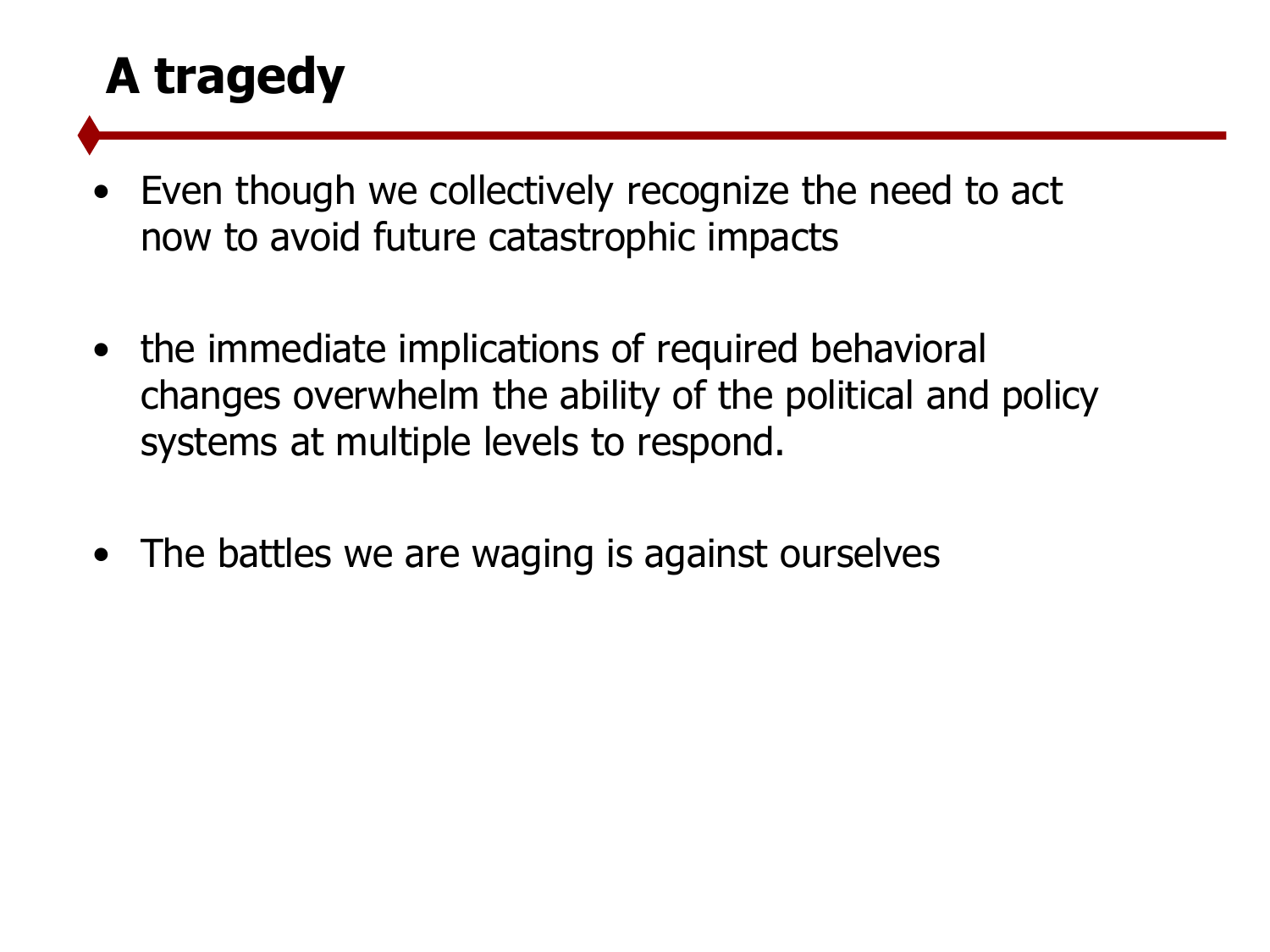### **A tragedy**

- Even though we collectively recognize the need to act now to avoid future catastrophic impacts
- the immediate implications of required behavioral changes overwhelm the ability of the political and policy systems at multiple levels to respond.
- The battles we are waging is against ourselves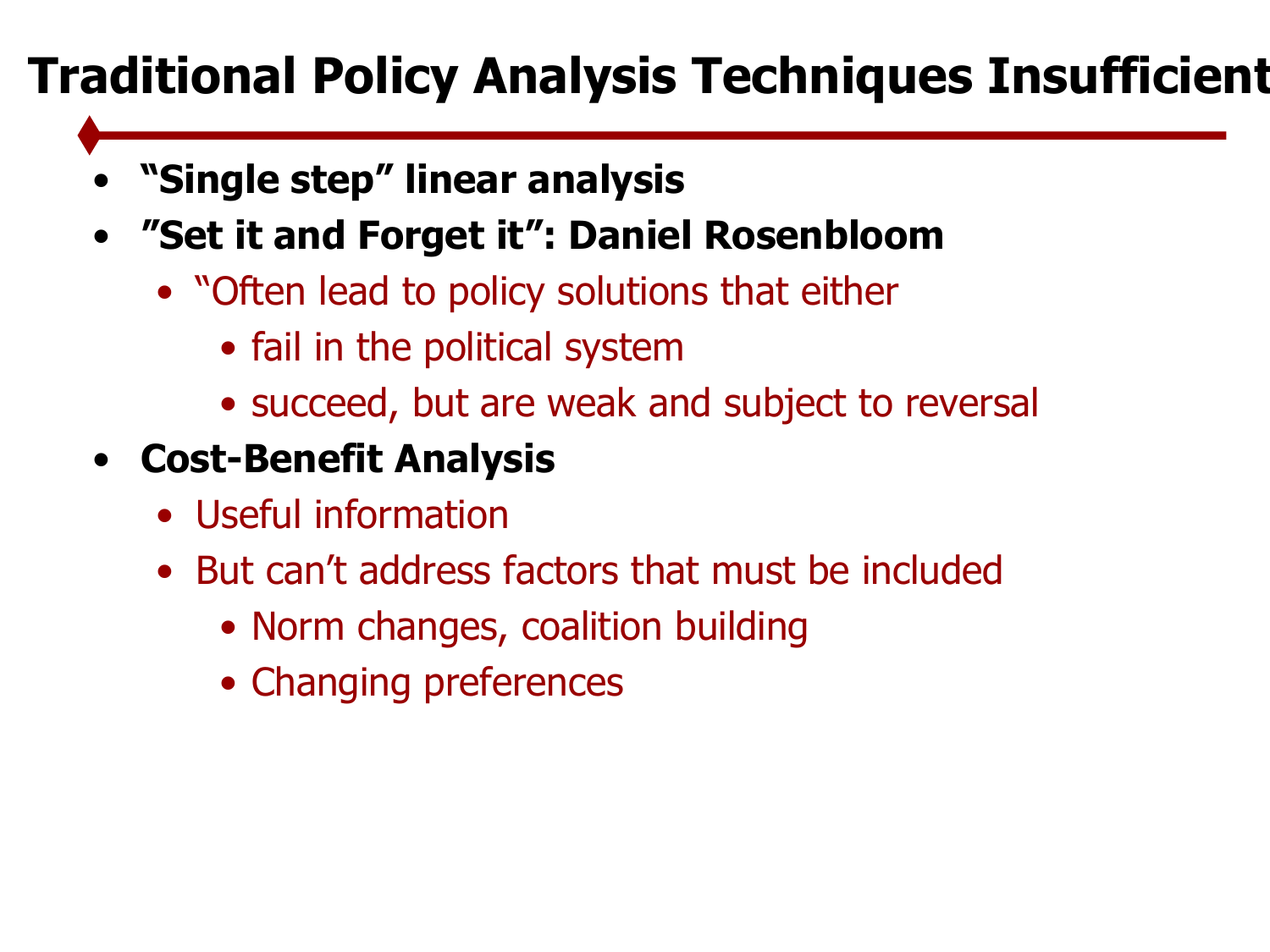# **Traditional Policy Analysis Techniques Insufficient**

- **"Single step" linear analysis**
- **"Set it and Forget it": Daniel Rosenbloom**
	- "Often lead to policy solutions that either
		- fail in the political system
		- succeed, but are weak and subject to reversal
- **Cost-Benefit Analysis**
	- Useful information
	- But can't address factors that must be included
		- Norm changes, coalition building
		- Changing preferences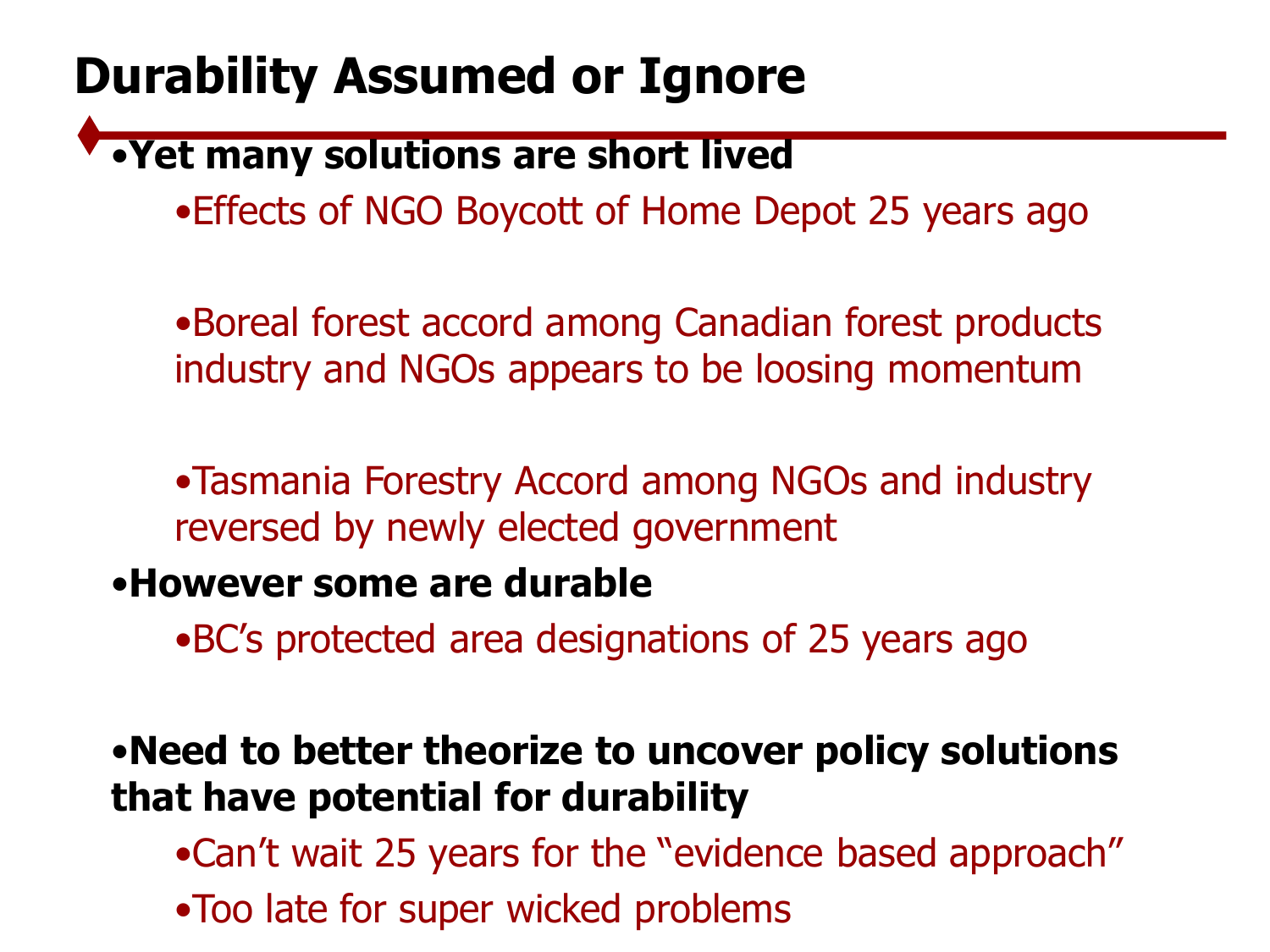### **Durability Assumed or Ignore**

#### •**Yet many solutions are short lived**

•Effects of NGO Boycott of Home Depot 25 years ago

•Boreal forest accord among Canadian forest products industry and NGOs appears to be loosing momentum

•Tasmania Forestry Accord among NGOs and industry reversed by newly elected government

#### •**However some are durable**

•BC's protected area designations of 25 years ago

#### •**Need to better theorize to uncover policy solutions that have potential for durability**

•Can't wait 25 years for the "evidence based approach"

•Too late for super wicked problems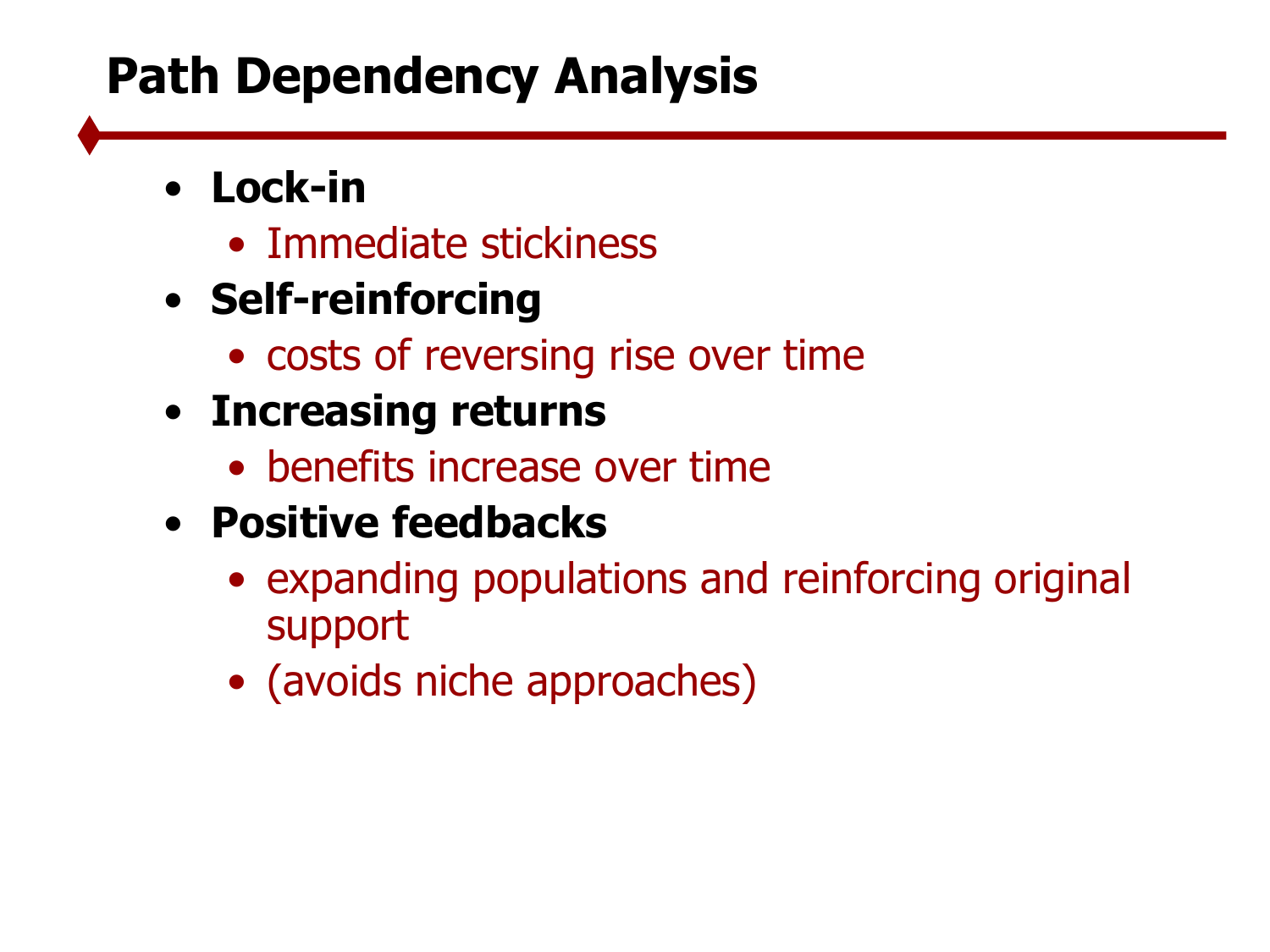## **Path Dependency Analysis**

#### • **Lock-in**

- Immediate stickiness
- **Self-reinforcing**
	- costs of reversing rise over time
- **Increasing returns**
	- benefits increase over time
- **Positive feedbacks**
	- expanding populations and reinforcing original support
	- (avoids niche approaches)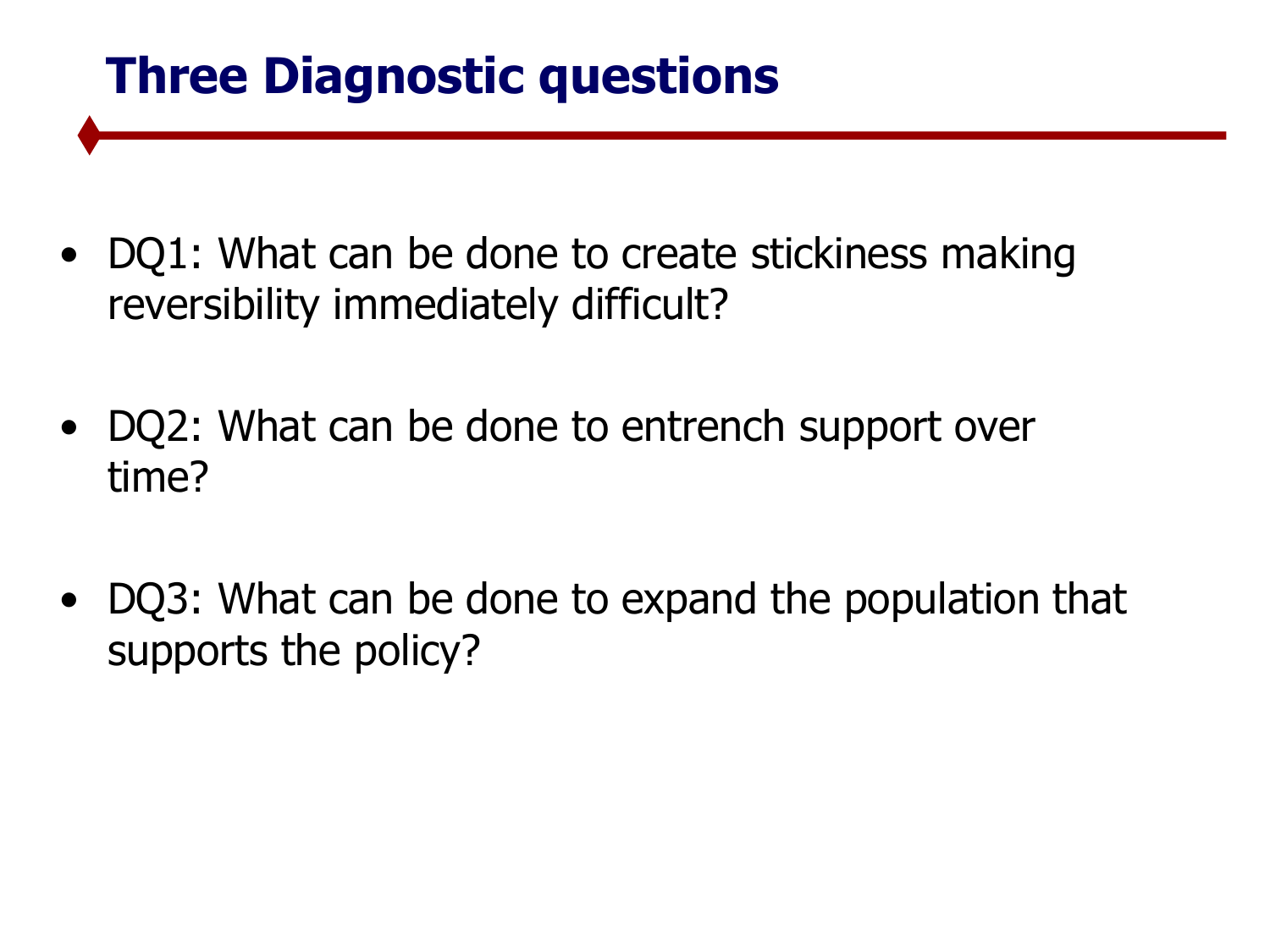### **Three Diagnostic questions**

- DQ1: What can be done to create stickiness making reversibility immediately difficult?
- DQ2: What can be done to entrench support over time?
- DQ3: What can be done to expand the population that supports the policy?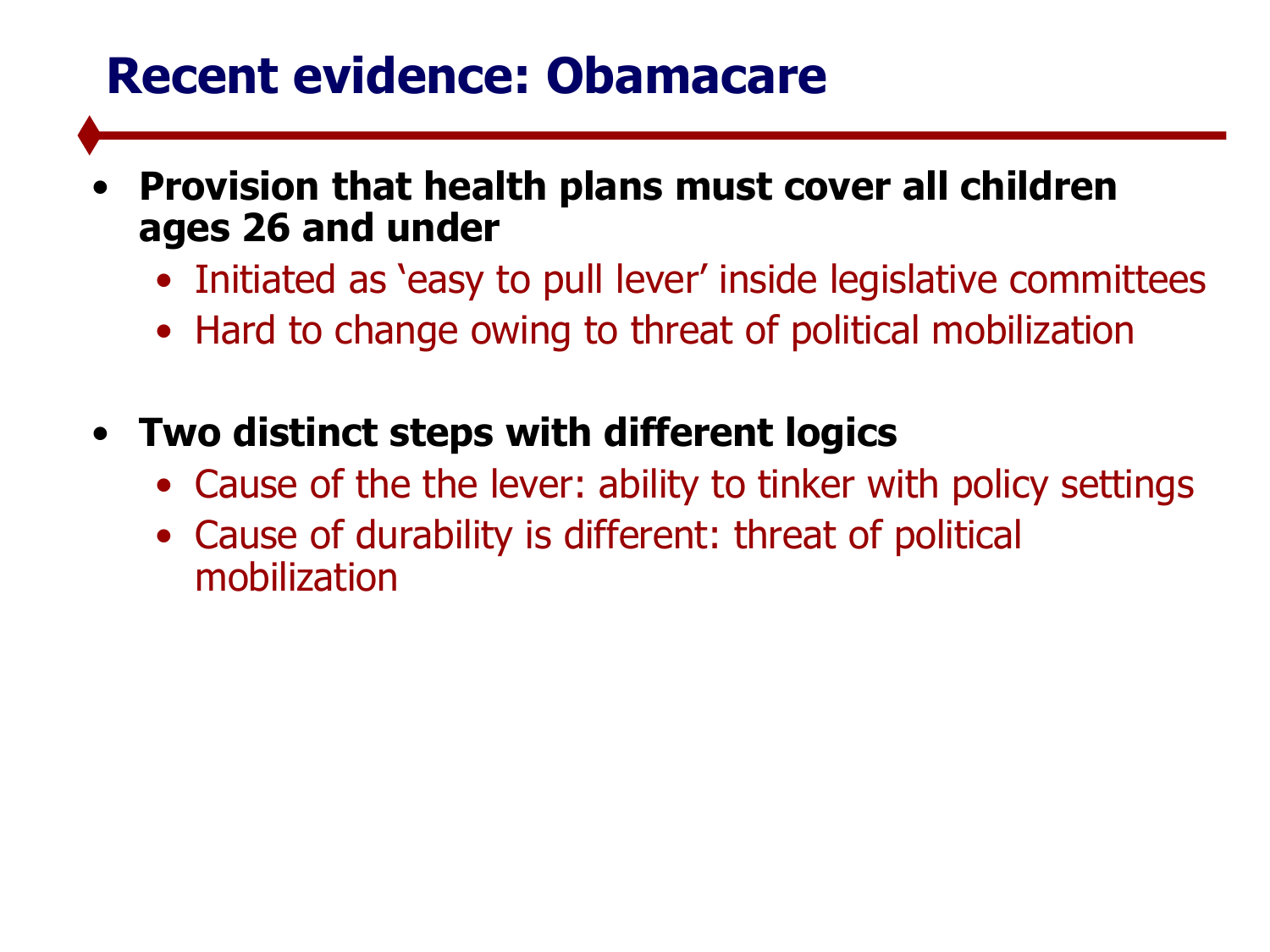#### **Recent evidence: Obamacare**

- **Provision that health plans must cover all children ages 26 and under**
	- Initiated as 'easy to pull lever' inside legislative committees
	- Hard to change owing to threat of political mobilization
- **Two distinct steps with different logics**
	- Cause of the the lever: ability to tinker with policy settings
	- Cause of durability is different: threat of political mobilization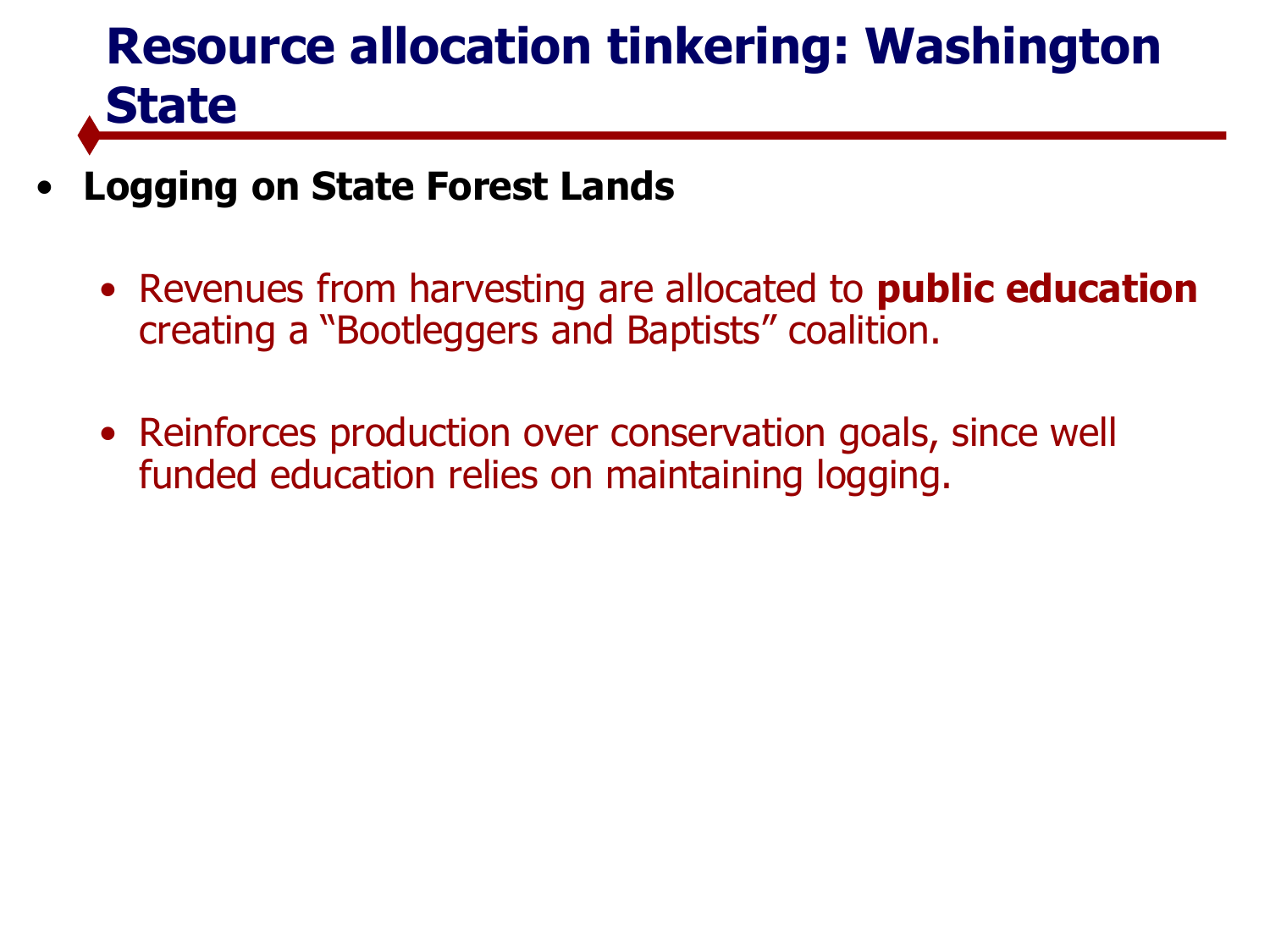# **Resource allocation tinkering: Washington State**

- **Logging on State Forest Lands**
	- Revenues from harvesting are allocated to **public education**  creating a "Bootleggers and Baptists" coalition.
	- Reinforces production over conservation goals, since well funded education relies on maintaining logging.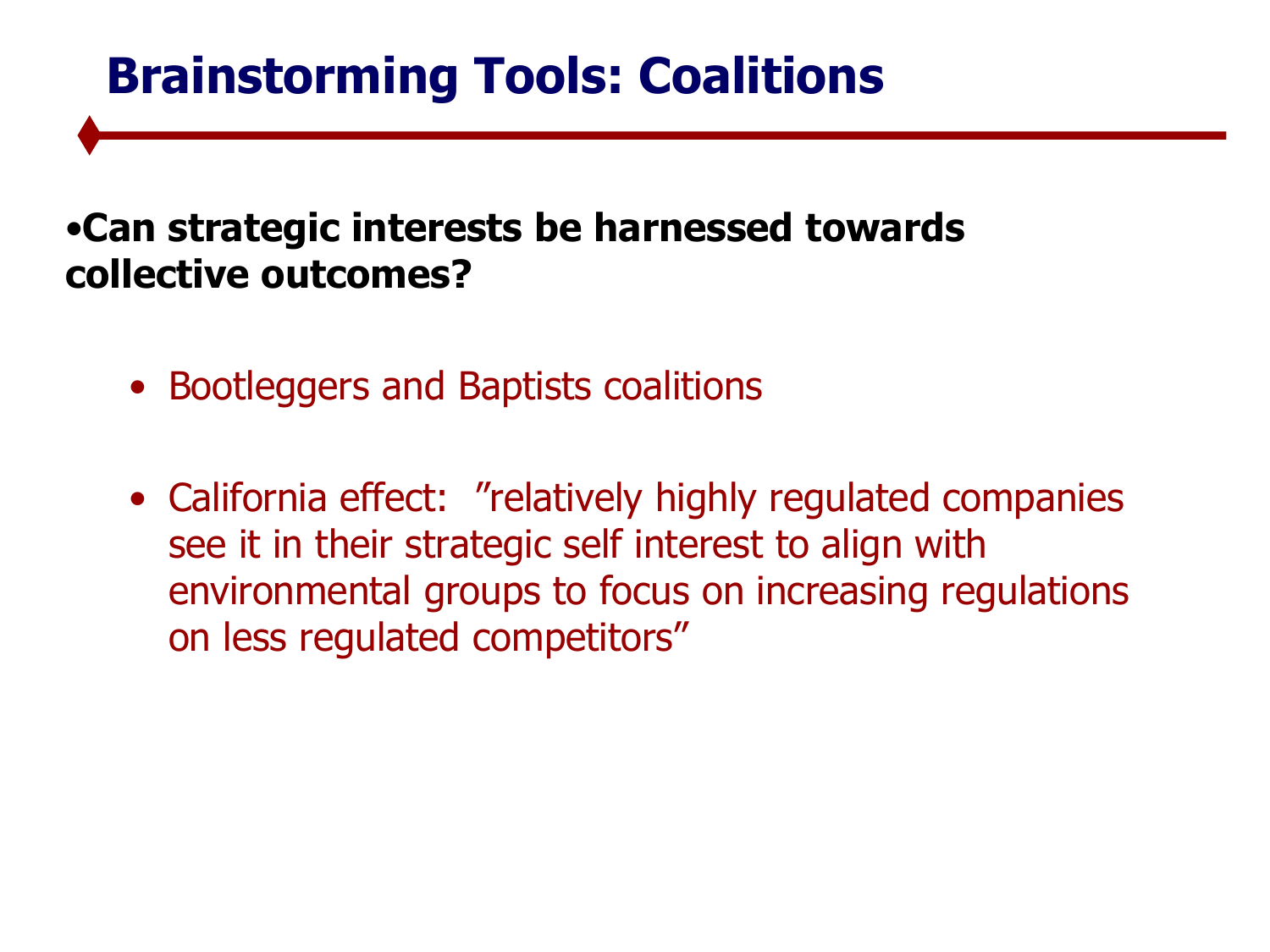### **Brainstorming Tools: Coalitions**

#### •**Can strategic interests be harnessed towards collective outcomes?**

- Bootleggers and Baptists coalitions
- California effect: "relatively highly regulated companies see it in their strategic self interest to align with environmental groups to focus on increasing regulations on less regulated competitors"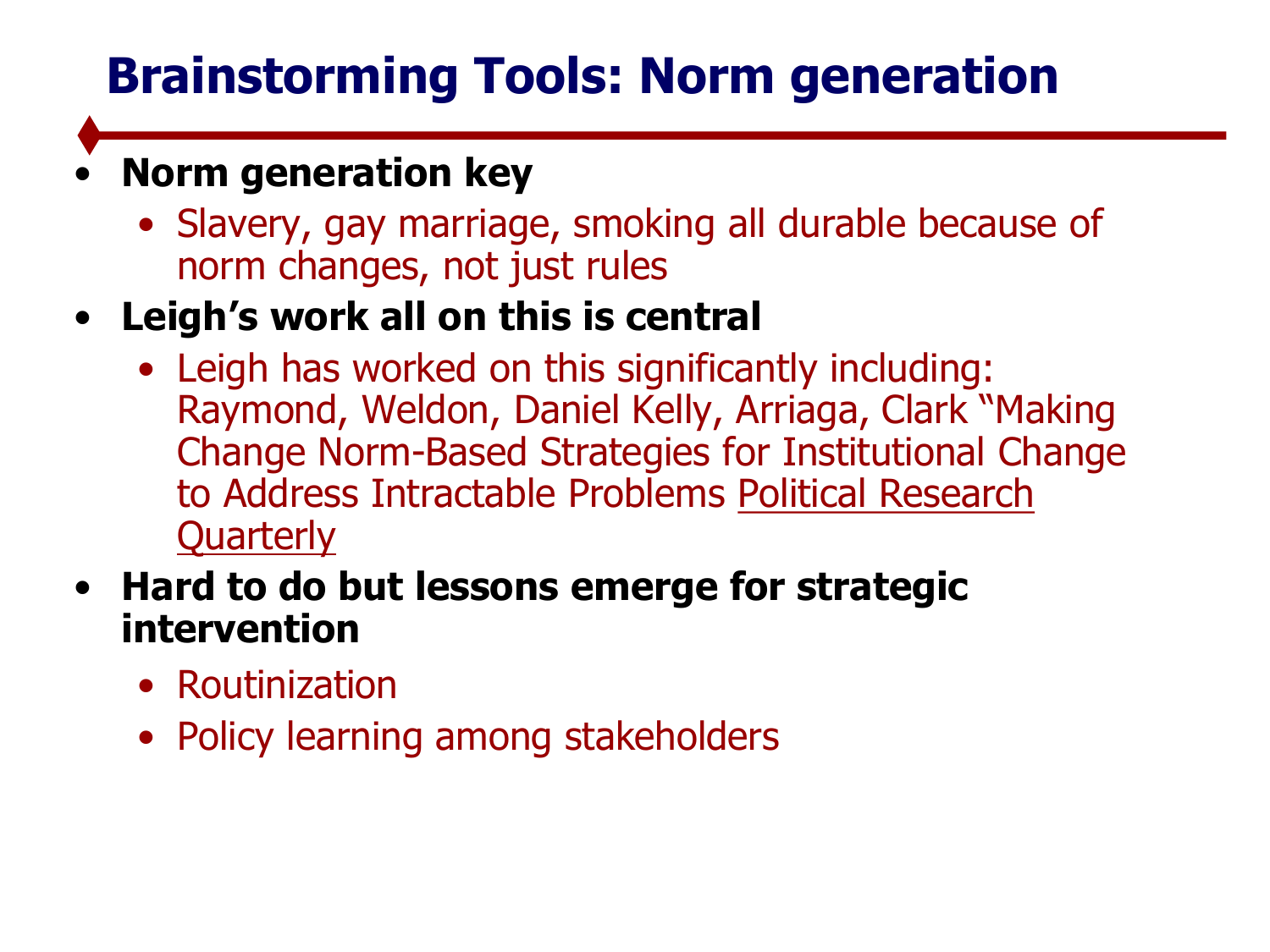## **Brainstorming Tools: Norm generation**

#### • **Norm generation key**

- Slavery, gay marriage, smoking all durable because of norm changes, not just rules
- **Leigh's work all on this is central**
	- Leigh has worked on this significantly including: Raymond, Weldon, Daniel Kelly, Arriaga, Clark "Making Change Norm-Based Strategies for Institutional Change to Address Intractable Problems Political Research **Quarterly**
- **Hard to do but lessons emerge for strategic intervention**
	- Routinization
	- Policy learning among stakeholders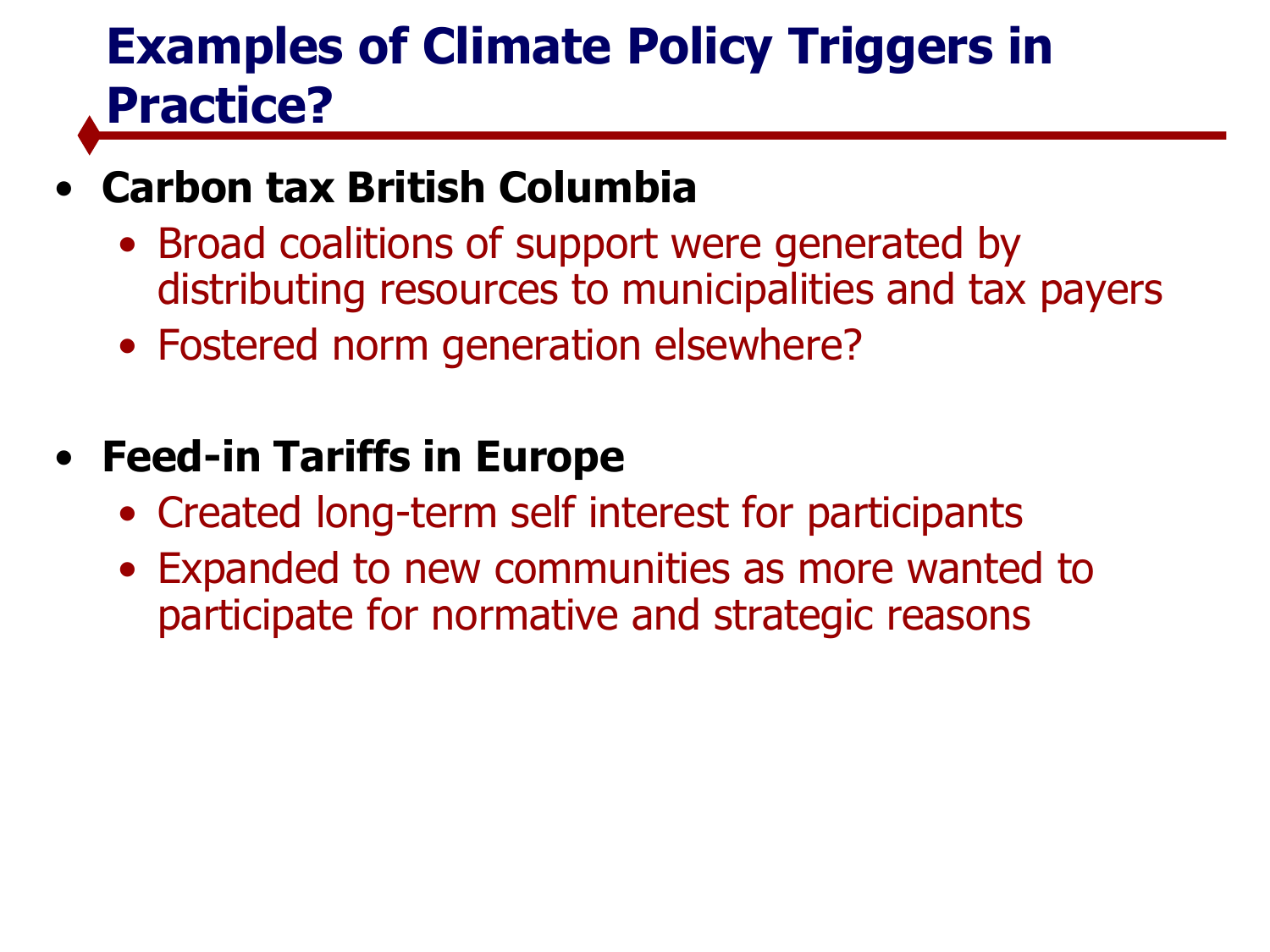## **Examples of Climate Policy Triggers in Practice?**

#### • **Carbon tax British Columbia**

- Broad coalitions of support were generated by distributing resources to municipalities and tax payers
- Fostered norm generation elsewhere?

#### • **Feed-in Tariffs in Europe**

- Created long-term self interest for participants
- Expanded to new communities as more wanted to participate for normative and strategic reasons